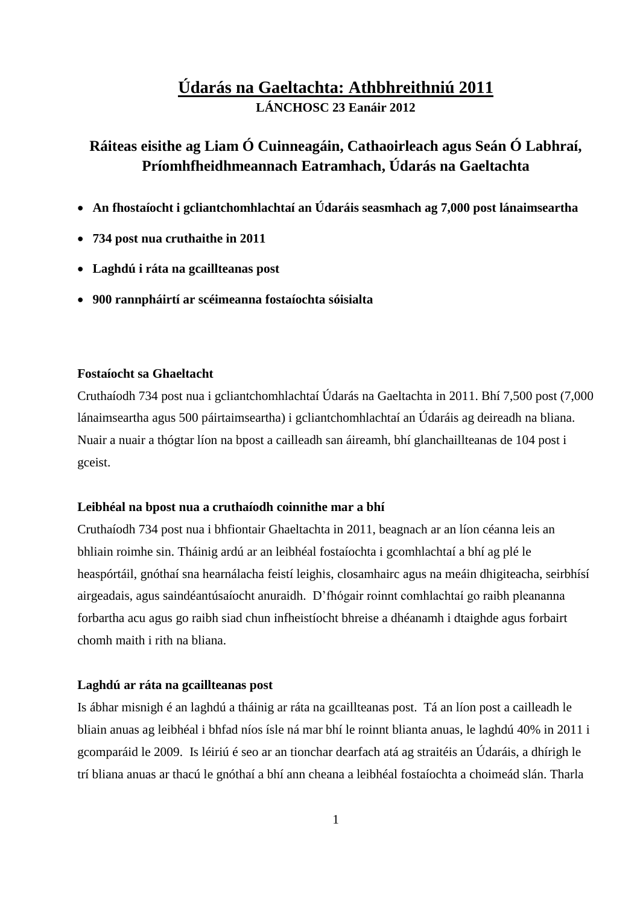# **Údarás na Gaeltachta: Athbhreithniú 2011 LÁNCHOSC 23 Eanáir 2012**

# **Ráiteas eisithe ag Liam Ó Cuinneagáin, Cathaoirleach agus Seán Ó Labhraí, Príomhfheidhmeannach Eatramhach, Údarás na Gaeltachta**

- **An fhostaíocht i gcliantchomhlachtaí an Údaráis seasmhach ag 7,000 post lánaimseartha**
- **734 post nua cruthaithe in 2011**
- **Laghdú i ráta na gcaillteanas post**
- **900 rannpháirtí ar scéimeanna fostaíochta sóisialta**

# **Fostaíocht sa Ghaeltacht**

Cruthaíodh 734 post nua i gcliantchomhlachtaí Údarás na Gaeltachta in 2011. Bhí 7,500 post (7,000 lánaimseartha agus 500 páirtaimseartha) i gcliantchomhlachtaí an Údaráis ag deireadh na bliana. Nuair a nuair a thógtar líon na bpost a cailleadh san áireamh, bhí glanchaillteanas de 104 post i gceist.

#### **Leibhéal na bpost nua a cruthaíodh coinnithe mar a bhí**

Cruthaíodh 734 post nua i bhfiontair Ghaeltachta in 2011, beagnach ar an líon céanna leis an bhliain roimhe sin. Tháinig ardú ar an leibhéal fostaíochta i gcomhlachtaí a bhí ag plé le heaspórtáil, gnóthaí sna hearnálacha feistí leighis, closamhairc agus na meáin dhigiteacha, seirbhísí airgeadais, agus saindéantúsaíocht anuraidh. D'fhógair roinnt comhlachtaí go raibh pleananna forbartha acu agus go raibh siad chun infheistíocht bhreise a dhéanamh i dtaighde agus forbairt chomh maith i rith na bliana.

#### **Laghdú ar ráta na gcaillteanas post**

Is ábhar misnigh é an laghdú a tháinig ar ráta na gcaillteanas post. Tá an líon post a cailleadh le bliain anuas ag leibhéal i bhfad níos ísle ná mar bhí le roinnt blianta anuas, le laghdú 40% in 2011 i gcomparáid le 2009. Is léiriú é seo ar an tionchar dearfach atá ag straitéis an Údaráis, a dhírigh le trí bliana anuas ar thacú le gnóthaí a bhí ann cheana a leibhéal fostaíochta a choimeád slán. Tharla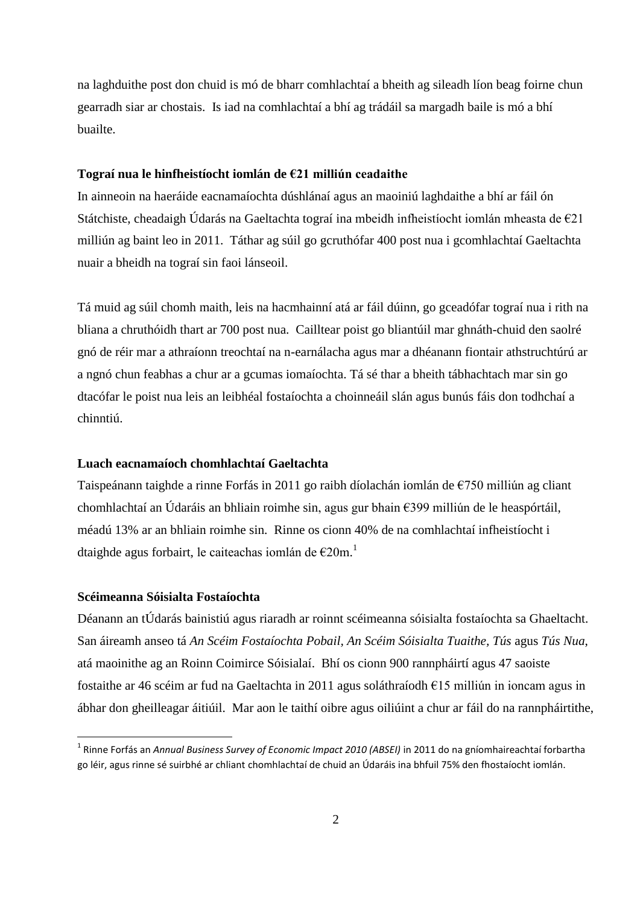na laghduithe post don chuid is mó de bharr comhlachtaí a bheith ag sileadh líon beag foirne chun gearradh siar ar chostais. Is iad na comhlachtaí a bhí ag trádáil sa margadh baile is mó a bhí buailte.

## **Tograí nua le hinfheistíocht iomlán de €21 milliún ceadaithe**

In ainneoin na haeráide eacnamaíochta dúshlánaí agus an maoiniú laghdaithe a bhí ar fáil ón Státchiste, cheadaigh Údarás na Gaeltachta tograí ina mbeidh infheistíocht iomlán mheasta de €21 milliún ag baint leo in 2011. Táthar ag súil go gcruthófar 400 post nua i gcomhlachtaí Gaeltachta nuair a bheidh na tograí sin faoi lánseoil.

Tá muid ag súil chomh maith, leis na hacmhainní atá ar fáil dúinn, go gceadófar tograí nua i rith na bliana a chruthóidh thart ar 700 post nua. Cailltear poist go bliantúil mar ghnáth-chuid den saolré gnó de réir mar a athraíonn treochtaí na n-earnálacha agus mar a dhéanann fiontair athstruchtúrú ar a ngnó chun feabhas a chur ar a gcumas iomaíochta. Tá sé thar a bheith tábhachtach mar sin go dtacófar le poist nua leis an leibhéal fostaíochta a choinneáil slán agus bunús fáis don todhchaí a chinntiú.

### **Luach eacnamaíoch chomhlachtaí Gaeltachta**

Taispeánann taighde a rinne Forfás in 2011 go raibh díolachán iomlán de €750 milliún ag cliant chomhlachtaí an Údaráis an bhliain roimhe sin, agus gur bhain €399 milliún de le heaspórtáil, méadú 13% ar an bhliain roimhe sin. Rinne os cionn 40% de na comhlachtaí infheistíocht i dtaighde agus forbairt, le caiteachas iomlán de €20m. 1

### **Scéimeanna Sóisialta Fostaíochta**

1

Déanann an tÚdarás bainistiú agus riaradh ar roinnt scéimeanna sóisialta fostaíochta sa Ghaeltacht. San áireamh anseo tá *An Scéim Fostaíochta Pobail, An Scéim Sóisialta Tuaithe, Tús* agus *Tús Nua*, atá maoinithe ag an Roinn Coimirce Sóisialaí. Bhí os cionn 900 rannpháirtí agus 47 saoiste fostaithe ar 46 scéim ar fud na Gaeltachta in 2011 agus soláthraíodh €15 milliún in ioncam agus in ábhar don gheilleagar áitiúil. Mar aon le taithí oibre agus oiliúint a chur ar fáil do na rannpháirtithe,

<sup>1</sup> Rinne Forfás an *Annual Business Survey of Economic Impact 2010 (ABSEI)* in 2011 do na gníomhaireachtaí forbartha go léir, agus rinne sé suirbhé ar chliant chomhlachtaí de chuid an Údaráis ina bhfuil 75% den fhostaíocht iomlán.